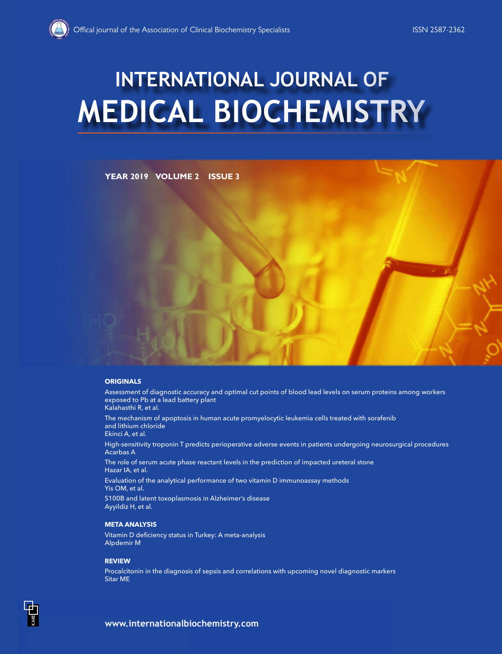# **MEDICAL BIOCHEMISTRY INTERNATIONAL JOURNAL OF**

**YEAR 2019 VOLUME 2 ISSUE 3**

## **ORIGINALS**

Assessment of diagnostic accuracy and optimal cut points of blood lead levels on serum proteins among workers exposed to Pb at a lead battery plant Kalahasthi R, et al.

The mechanism of apoptosis in human acute promyelocytic leukemia cells treated with sorafenib and lithium chloride Ekinci A, et al.

High-sensitivity troponin T predicts perioperative adverse events in patients undergoing neurosurgical procedures Acarbas A

The role of serum acute phase reactant levels in the prediction of impacted ureteral stone Hazar IA, et al.

Evaluation of the analytical performance of two vitamin D immunoassay methods Yis OM, et al.

S100B and latent toxoplasmosis in Alzheimer's disease Ayyildiz H, et al.

## **META ANALYSIS**

Vitamin D deficiency status in Turkey: A meta-analysis Alpdemir M

# **REVIEW**

Procalcitonin in the diagnosis of sepsis and correlations with upcoming novel diagnostic markers Sitar ME

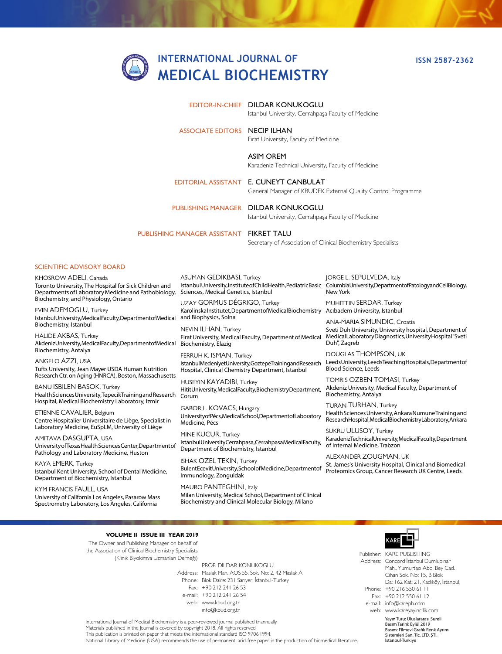

**ISSN 2587-2362**

|                                          | EDITOR-IN-CHIEF DILDAR KONUKOGLU<br>Istanbul University, Cerrahpaşa Faculty of Medicine                |
|------------------------------------------|--------------------------------------------------------------------------------------------------------|
| <b>ASSOCIATE EDITORS NECIP ILHAN</b>     | Firat University, Faculty of Medicine                                                                  |
|                                          | <b>ASIM OREM</b><br>Karadeniz Technical University, Faculty of Medicine                                |
|                                          | EDITORIAL ASSISTANT E. CUNEYT CANBULAT<br>General Manager of KBUDEK External Quality Control Programme |
|                                          | PUBLISHING MANAGER DILDAR KONUKOGLU<br>Istanbul University, Cerrahpaşa Faculty of Medicine             |
| PUBLISHING MANAGER ASSISTANT FIKRET TALU | Secretary of Association of Clinical Biochemistry Specialists                                          |

#### SCIENTIFIC ADVISORY BOARD

KHOSROW ADELI, Canada Toronto University, The Hospital for Sick Children and Departments of Laboratory Medicine and Pathobiology, Biochemistry, and Physiology, Ontario

EVIN ADEMOGLU, Turkey Istanbul University, Medical Faculty, Department of Medical Biochemistry, Istanbul

HALIDE AKBAS, Turkey Akdeniz University, Medical Faculty, Department of Medical Biochemistry, Antalya

ANGELO AZZI, USA Tufts University, Jean Mayer USDA Human Nutrition Research Ctr. on Aging (HNRCA), Boston, Massachusetts

BANU ISBILEN BASOK, Turkey Health Sciences University, Tepecik Training and Research Hospital, Medical Biochemistry Laboratory, Izmir

ETIENNE CAVALIER, Belgium Centre Hospitalier Universitaire de Liège, Specialist in Laboratory Medicine, EuSpLM, University of Liège

AMITAVA DASGUPTA, USA University of Texas Health Sciences Center,Department of Pathology and Laboratory Medicine, Huston

KAYA EMERK, Turkey Istanbul Kent University, School of Dental Medicine, Department of Biochemistry, Istanbul

KYM FRANCIS FAULL, USA University of California Los Angeles, Pasarow Mass Spectrometry Laboratory, Los Angeles, California

ASUMAN GEDIKBASI, Turkey Istanbul University, Institute of Child Health, Pediatric Basic Sciences, Medical Genetics, Istanbul

UZAY GORMUS DÉGRIGO, Turkey Karolinska Institutet, Department of Medical Biochemistry Acıbadem University, Istanbul and Biophysics, Solna

NEVIN ILHAN, Turkey Firat University, Medical Faculty, Department of Medical Biochemistry, Elazig

FERRUH K. ISMAN, Turkey Istanbul Medeniyet University, Goztepe Training and Research Hospital, Clinical Chemistry Department, Istanbul

HUSEYIN KAYADIBI, Turkey Hitit University, Medical Faculty, Biochemistry Department, Corum

GABOR L. KOVACS, Hungary University of Pécs, Medical School, Department of Laboratory Medicine, Pécs

MINE KUCUR, Turkey Istanbul University Cerrahpasa, Cerrahpasa Medical Faculty, Department of Biochemistry, Istanbul

ISHAK OZEL TEKIN, Turkey Bulent Ecevit University, School of Medicine, Department of Immunology, Zonguldak

MAURO PANTEGHINI, Italy Milan University, Medical School, Department of Clinical Biochemistry and Clinical Molecular Biology, Milano

JORGE L. SEPULVEDA, Italy Columbia University, Department of Patology and Cell Biology, New York

MUHITTIN SERDAR, Turkey

ANA-MARIA SIMUNDIC, Croatia Sveti Duh University, University hospital, Department of Medical Laboratory Diagnostics, University Hospital "Sveti Duh", Zagreb

DOUGLAS THOMPSON, UK Leeds University, Leeds Teaching Hospitals, Department of Blood Science, Leeds

TOMRIS OZBEN TOMASI, Turkey Akdeniz University, Medical Faculty, Department of Biochemistry, Antalya

TURAN TURHAN, Turkey Health Sciences University, Ankara Numune Training and Research Hospital, Medical Biochemistry Laboratory, Ankara

SUKRU ULUSOY, Turkey Karadeniz Technical University, Medical Faculty, Department of Internal Medicine, Trabzon

ALEXANDER ZOUGMAN, UK St. James's University Hospital, Clinical and Biomedical Proteomics Group, Cancer Research UK Centre, Leeds

#### **VOLUME II ISSUE III YEAR 2019**

The Owner and Publishing Manager on behalf of the Association of Clinical Biochemistry Specialists (Klinik Biyokimya Uzmanları Derneği)

Address: Maslak Mah. AOS 55. Sok. No: 2, 42 Maslak A Phone: Blok Daire: 231 Sarıyer, İstanbul-Turkey Fax: +90 212 241 26 53 e-mail: +90 212 241 26 54 web: www.kbud.org.tr PROF. DILDAR KONUKOGLU info@kbud.org.tr



Publisher: KARE PUBLISHING Address: Concord İstanbul Dumlupınar Phone: +90 216 550 61 11 Fax: +90 212 550 61 12 e-mail: info@karepb.com web: www.kareyayincilik.com Mah., Yumurtacı Abdi Bey Cad. Cihan Sok. No: 15, B Blok Da: 162 Kat: 21, Kadıköy, İstanbul,

International Journal of Medical Biochemistry is a peer-reviewed journal published triannually. Materials published in the Journal is covered by copyright 2018. All rights reserved. This publication is printed on paper that meets the international standard ISO 9706:1994.

National Library of Medicine (USA) recommends the use of permanent, acid-free paper in the production of biomedical literature.

Yayın Turu: Uluslararası Sureli Basım Tarihi: Eylül 2019 Basım: Filmevi Grafik Renk Ayrımı Sistemleri San. Tic. LTD. ŞTİ. İstanbul-Türkiye